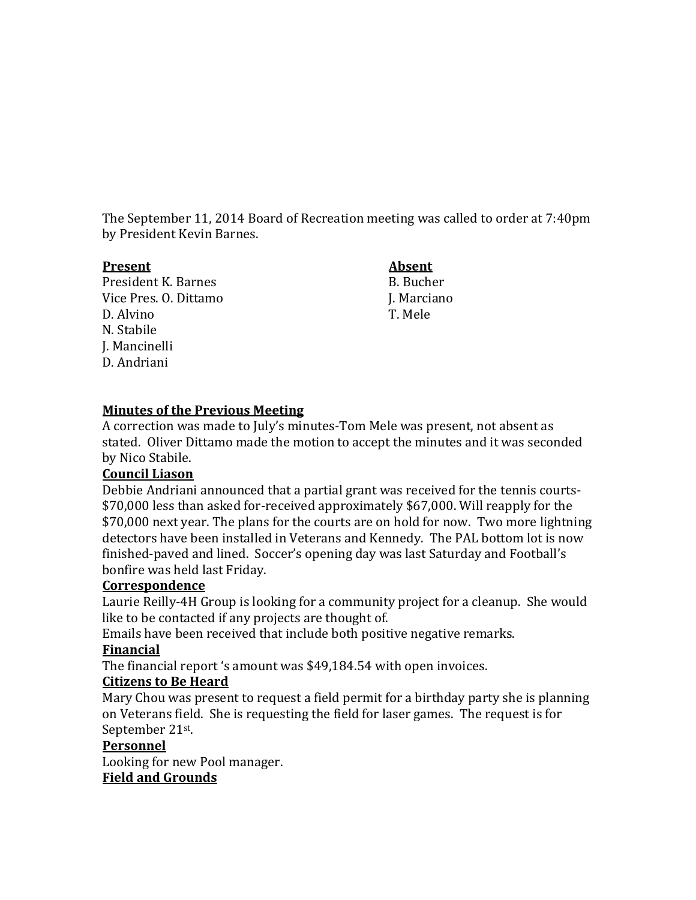The September 11, 2014 Board of Recreation meeting was called to order at 7:40pm by President Kevin Barnes.

#### **Present Absent**

President K. Barnes B. Bucher Vice Pres. O. Dittamo J. Marciano D. Alvino T. Mele N. Stabile J. Mancinelli D. Andriani

# **Minutes of the Previous Meeting**

A correction was made to July's minutes-Tom Mele was present, not absent as stated. Oliver Dittamo made the motion to accept the minutes and it was seconded by Nico Stabile.

### **Council Liason**

Debbie Andriani announced that a partial grant was received for the tennis courts- \$70,000 less than asked for-received approximately \$67,000. Will reapply for the \$70,000 next year. The plans for the courts are on hold for now. Two more lightning detectors have been installed in Veterans and Kennedy. The PAL bottom lot is now finished-paved and lined. Soccer's opening day was last Saturday and Football's bonfire was held last Friday.

### **Correspondence**

Laurie Reilly-4H Group is looking for a community project for a cleanup. She would like to be contacted if any projects are thought of.

Emails have been received that include both positive negative remarks.

### **Financial**

The financial report 's amount was \$49,184.54 with open invoices.

### **Citizens to Be Heard**

Mary Chou was present to request a field permit for a birthday party she is planning on Veterans field. She is requesting the field for laser games. The request is for September 21st .

### **Personnel**

Looking for new Pool manager.

# **Field and Grounds**